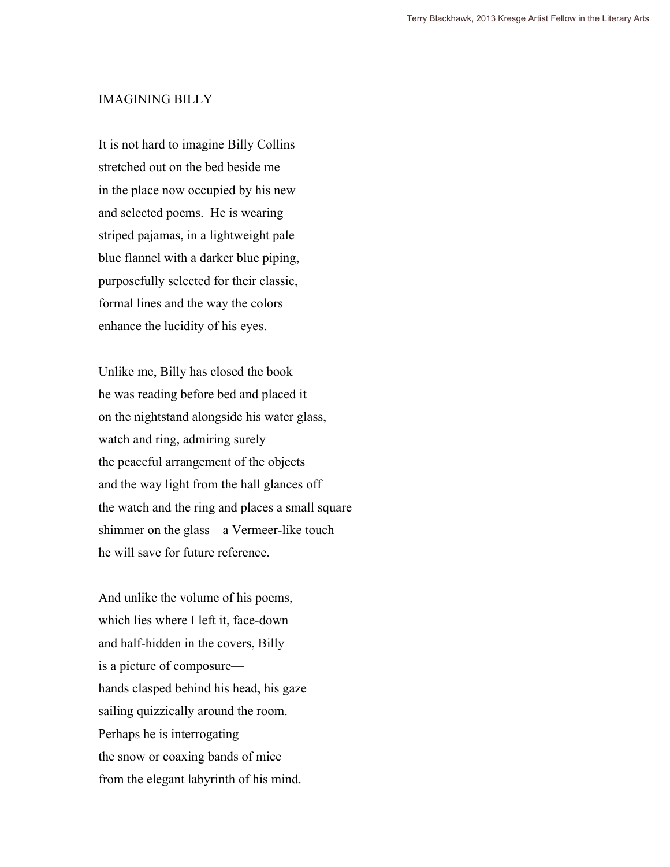## IMAGINING BILLY

It is not hard to imagine Billy Collins stretched out on the bed beside me in the place now occupied by his new and selected poems. He is wearing striped pajamas, in a lightweight pale blue flannel with a darker blue piping, purposefully selected for their classic, formal lines and the way the colors enhance the lucidity of his eyes.

Unlike me, Billy has closed the book he was reading before bed and placed it on the nightstand alongside his water glass, watch and ring, admiring surely the peaceful arrangement of the objects and the way light from the hall glances off the watch and the ring and places a small square shimmer on the glass—a Vermeer-like touch he will save for future reference.

And unlike the volume of his poems, which lies where I left it, face-down and half-hidden in the covers, Billy is a picture of composure hands clasped behind his head, his gaze sailing quizzically around the room. Perhaps he is interrogating the snow or coaxing bands of mice from the elegant labyrinth of his mind.